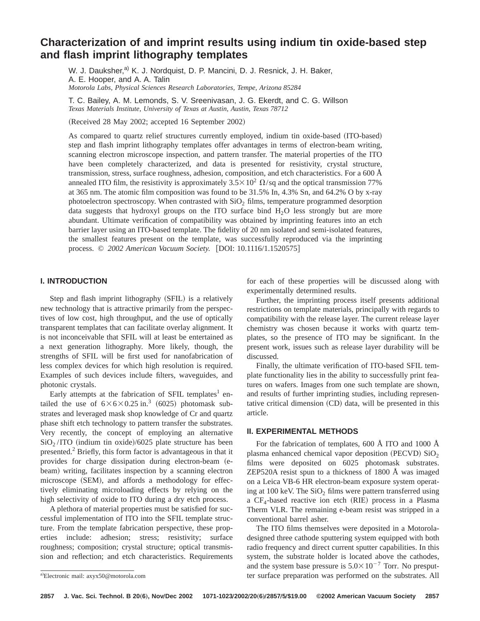# **Characterization of and imprint results using indium tin oxide-based step and flash imprint lithography templates**

W. J. Dauksher,<sup>a)</sup> K. J. Nordquist, D. P. Mancini, D. J. Resnick, J. H. Baker, A. E. Hooper, and A. A. Talin *Motorola Labs, Physical Sciences Research Laboratories, Tempe, Arizona 85284*

T. C. Bailey, A. M. Lemonds, S. V. Sreenivasan, J. G. Ekerdt, and C. G. Willson *Texas Materials Institute, University of Texas at Austin, Austin, Texas 78712*

(Received 28 May 2002; accepted 16 September 2002)

As compared to quartz relief structures currently employed, indium tin oxide-based (ITO-based) step and flash imprint lithography templates offer advantages in terms of electron-beam writing, scanning electron microscope inspection, and pattern transfer. The material properties of the ITO have been completely characterized, and data is presented for resistivity, crystal structure, transmission, stress, surface roughness, adhesion, composition, and etch characteristics. For a 600 Å annealed ITO film, the resistivity is approximately  $3.5 \times 10^2 \Omega/\text{sq}$  and the optical transmission 77% at 365 nm. The atomic film composition was found to be 31.5% In, 4.3% Sn, and 64.2% O by x-ray photoelectron spectroscopy. When contrasted with  $SiO<sub>2</sub>$  films, temperature programmed desorption data suggests that hydroxyl groups on the ITO surface bind  $H<sub>2</sub>O$  less strongly but are more abundant. Ultimate verification of compatibility was obtained by imprinting features into an etch barrier layer using an ITO-based template. The fidelity of 20 nm isolated and semi-isolated features, the smallest features present on the template, was successfully reproduced via the imprinting process. © 2002 American Vacuum Society. [DOI: 10.1116/1.1520575]

## **I. INTRODUCTION**

Step and flash imprint lithography (SFIL) is a relatively new technology that is attractive primarily from the perspectives of low cost, high throughput, and the use of optically transparent templates that can facilitate overlay alignment. It is not inconceivable that SFIL will at least be entertained as a next generation lithography. More likely, though, the strengths of SFIL will be first used for nanofabrication of less complex devices for which high resolution is required. Examples of such devices include filters, waveguides, and photonic crystals.

Early attempts at the fabrication of SFIL templates<sup>1</sup> entailed the use of  $6 \times 6 \times 0.25$  in.<sup>3</sup> (6025) photomask substrates and leveraged mask shop knowledge of Cr and quartz phase shift etch technology to pattern transfer the substrates. Very recently, the concept of employing an alternative  $SiO<sub>2</sub>/ITO$  (indium tin oxide)/6025 plate structure has been presented.2 Briefly, this form factor is advantageous in that it provides for charge dissipation during electron-beam (ebeam) writing, facilitates inspection by a scanning electron microscope (SEM), and affords a methodology for effectively eliminating microloading effects by relying on the high selectivity of oxide to ITO during a dry etch process.

A plethora of material properties must be satisfied for successful implementation of ITO into the SFIL template structure. From the template fabrication perspective, these properties include: adhesion; stress; resistivity; surface roughness; composition; crystal structure; optical transmission and reflection; and etch characteristics. Requirements for each of these properties will be discussed along with experimentally determined results.

Further, the imprinting process itself presents additional restrictions on template materials, principally with regards to compatibility with the release layer. The current release layer chemistry was chosen because it works with quartz templates, so the presence of ITO may be significant. In the present work, issues such as release layer durability will be discussed.

Finally, the ultimate verification of ITO-based SFIL template functionality lies in the ability to successfully print features on wafers. Images from one such template are shown, and results of further imprinting studies, including representative critical dimension  $(CD)$  data, will be presented in this article.

## **II. EXPERIMENTAL METHODS**

For the fabrication of templates, 600 Å ITO and 1000 Å plasma enhanced chemical vapor deposition (PECVD)  $SiO<sub>2</sub>$ films were deposited on 6025 photomask substrates. ZEP520A resist spun to a thickness of 1800 Å was imaged on a Leica VB-6 HR electron-beam exposure system operating at 100 keV. The  $SiO<sub>2</sub>$  films were pattern transferred using a  $CF_4$ -based reactive ion etch (RIE) process in a Plasma Therm VLR. The remaining e-beam resist was stripped in a conventional barrel asher.

The ITO films themselves were deposited in a Motoroladesigned three cathode sputtering system equipped with both radio frequency and direct current sputter capabilities. In this system, the substrate holder is located above the cathodes, and the system base pressure is  $5.0 \times 10^{-7}$  Torr. No presputter surface preparation was performed on the substrates. All

a)Electronic mail: axyx50@motorola.com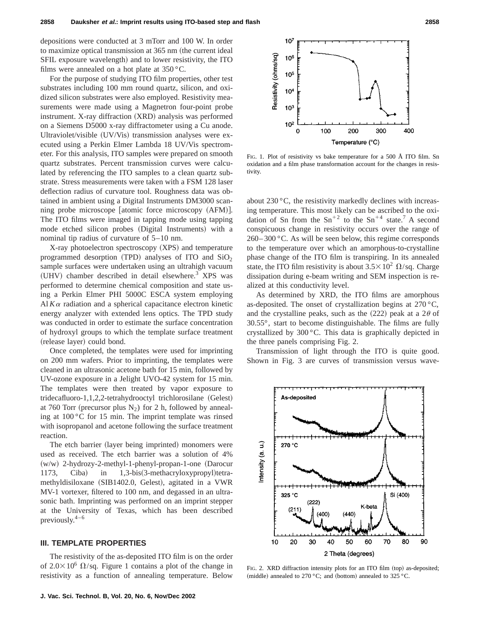depositions were conducted at 3 mTorr and 100 W. In order to maximize optical transmission at 365 nm (the current ideal SFIL exposure wavelength) and to lower resistivity, the ITO films were annealed on a hot plate at 350 °C.

For the purpose of studying ITO film properties, other test substrates including 100 mm round quartz, silicon, and oxidized silicon substrates were also employed. Resistivity measurements were made using a Magnetron four-point probe instrument. X-ray diffraction (XRD) analysis was performed on a Siemens D5000 x-ray diffractometer using a Cu anode. Ultraviolet/visible (UV/Vis) transmission analyses were executed using a Perkin Elmer Lambda 18 UV/Vis spectrometer. For this analysis, ITO samples were prepared on smooth quartz substrates. Percent transmission curves were calculated by referencing the ITO samples to a clean quartz substrate. Stress measurements were taken with a FSM 128 laser deflection radius of curvature tool. Roughness data was obtained in ambient using a Digital Instruments DM3000 scanning probe microscope [atomic force microscopy (AFM)]. The ITO films were imaged in tapping mode using tapping mode etched silicon probes (Digital Instruments) with a nominal tip radius of curvature of 5–10 nm.

X-ray photoelectron spectroscopy (XPS) and temperature programmed desorption (TPD) analyses of ITO and  $SiO<sub>2</sub>$ sample surfaces were undertaken using an ultrahigh vacuum (UHV) chamber described in detail elsewhere. $3$  XPS was performed to determine chemical composition and state using a Perkin Elmer PHI 5000C ESCA system employing  $A K \alpha$  radiation and a spherical capacitance electron kinetic energy analyzer with extended lens optics. The TPD study was conducted in order to estimate the surface concentration of hydroxyl groups to which the template surface treatment (release layer) could bond.

Once completed, the templates were used for imprinting on 200 mm wafers. Prior to imprinting, the templates were cleaned in an ultrasonic acetone bath for 15 min, followed by UV-ozone exposure in a Jelight UVO-42 system for 15 min. The templates were then treated by vapor exposure to  $tridecafluoro-1,1,2,2-tetrahydrooctyl trichlorosilane (Gelest)$ at 760 Torr (precursor plus  $N_2$ ) for 2 h, followed by annealing at 100 °C for 15 min. The imprint template was rinsed with isopropanol and acetone following the surface treatment reaction.

The etch barrier (layer being imprinted) monomers were used as received. The etch barrier was a solution of 4%  $(w/w)$  2-hydrozy-2-methyl-1-phenyl-propan-1-one (Darocur 1173, Ciba) in 1,3-bis(3-methacryloxypropyl)tetramethyldisiloxane (SIB1402.0, Gelest), agitated in a VWR MV-1 vortexer, filtered to 100 nm, and degassed in an ultrasonic bath. Imprinting was performed on an imprint stepper at the University of Texas, which has been described previously.4–6

## **III. TEMPLATE PROPERTIES**

The resistivity of the as-deposited ITO film is on the order of  $2.0\times10^6$   $\Omega$ /sq. Figure 1 contains a plot of the change in resistivity as a function of annealing temperature. Below



FIG. 1. Plot of resistivity vs bake temperature for a 500 Å ITO film. Sn oxidation and a film phase transformation account for the changes in resistivity.

about 230 °C, the resistivity markedly declines with increasing temperature. This most likely can be ascribed to the oxidation of Sn from the  $Sn^{+2}$  to the  $Sn^{+4}$  state.<sup>7</sup> A second conspicuous change in resistivity occurs over the range of  $260-300$  °C. As will be seen below, this regime corresponds to the temperature over which an amorphous-to-crystalline phase change of the ITO film is transpiring. In its annealed state, the ITO film resistivity is about  $3.5 \times 10^2 \Omega$ /sq. Charge dissipation during e-beam writing and SEM inspection is realized at this conductivity level.

As determined by XRD, the ITO films are amorphous as-deposited. The onset of crystallization begins at  $270^{\circ}$ C, and the crystalline peaks, such as the  $(222)$  peak at a 2 $\theta$  of 30.55°, start to become distinguishable. The films are fully crystallized by 300 °C. This data is graphically depicted in the three panels comprising Fig. 2.

Transmission of light through the ITO is quite good. Shown in Fig. 3 are curves of transmission versus wave-



FIG. 2. XRD diffraction intensity plots for an ITO film (top) as-deposited; (middle) annealed to 270 °C; and (bottom) annealed to 325 °C.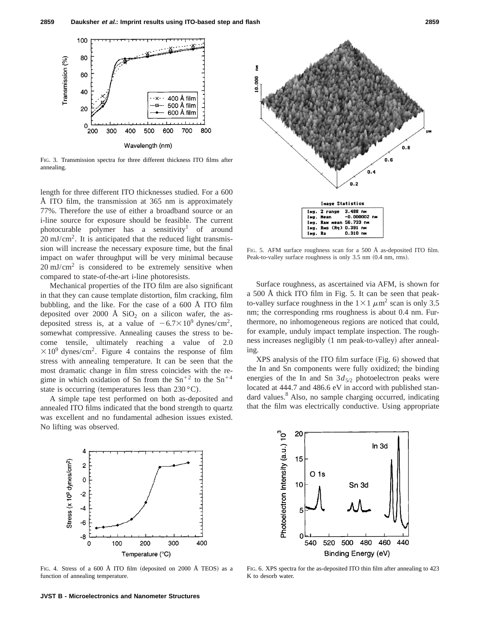

FIG. 3. Transmission spectra for three different thickness ITO films after annealing.

length for three different ITO thicknesses studied. For a 600 Å ITO film, the transmission at 365 nm is approximately 77%. Therefore the use of either a broadband source or an i-line source for exposure should be feasible. The current photocurable polymer has a sensitivity of around  $20 \text{ mJ/cm}^2$ . It is anticipated that the reduced light transmission will increase the necessary exposure time, but the final impact on wafer throughput will be very minimal because  $20 \text{ mJ/cm}^2$  is considered to be extremely sensitive when compared to state-of-the-art i-line photoresists.

Mechanical properties of the ITO film are also significant in that they can cause template distortion, film cracking, film bubbling, and the like. For the case of a 600 Å ITO film deposited over 2000 Å  $SiO<sub>2</sub>$  on a silicon wafer, the asdeposited stress is, at a value of  $-6.7\times10^9$  dynes/cm<sup>2</sup>, somewhat compressive. Annealing causes the stress to become tensile, ultimately reaching a value of 2.0  $\times 10^{9}$  dynes/cm<sup>2</sup>. Figure 4 contains the response of film stress with annealing temperature. It can be seen that the most dramatic change in film stress coincides with the regime in which oxidation of Sn from the  $Sn^{+2}$  to the  $Sn^{+4}$ state is occurring (temperatures less than  $230 \degree C$ ).

A simple tape test performed on both as-deposited and annealed ITO films indicated that the bond strength to quartz was excellent and no fundamental adhesion issues existed. No lifting was observed.



FIG. 4. Stress of a 600 Å ITO film (deposited on 2000 Å TEOS) as a function of annealing temperature.



FIG. 5. AFM surface roughness scan for a 500 Å as-deposited ITO film. Peak-to-valley surface roughness is only 3.5 nm (0.4 nm, rms).

Surface roughness, as ascertained via AFM, is shown for a 500 Å thick ITO film in Fig. 5. It can be seen that peakto-valley surface roughness in the  $1\times1 \ \mu \text{m}^2$  scan is only 3.5 nm; the corresponding rms roughness is about 0.4 nm. Furthermore, no inhomogeneous regions are noticed that could, for example, unduly impact template inspection. The roughness increases negligibly (1 nm peak-to-valley) after annealing.

 $XPS$  analysis of the ITO film surface (Fig. 6) showed that the In and Sn components were fully oxidized; the binding energies of the In and Sn  $3d_{5/2}$  photoelectron peaks were located at 444.7 and 486.6 eV in accord with published standard values.<sup>8</sup> Also, no sample charging occurred, indicating that the film was electrically conductive. Using appropriate



FIG. 6. XPS spectra for the as-deposited ITO thin film after annealing to 423 K to desorb water.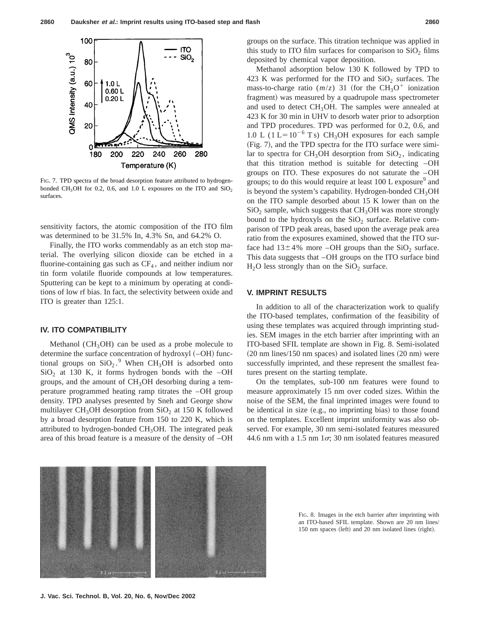

FIG. 7. TPD spectra of the broad desorption feature attributed to hydrogenbonded CH<sub>3</sub>OH for 0.2, 0.6, and 1.0 L exposures on the ITO and  $SiO<sub>2</sub>$ surfaces.

sensitivity factors, the atomic composition of the ITO film was determined to be 31.5% In, 4.3% Sn, and 64.2% O.

Finally, the ITO works commendably as an etch stop material. The overlying silicon dioxide can be etched in a fluorine-containing gas such as  $CF_4$ , and neither indium nor tin form volatile fluoride compounds at low temperatures. Sputtering can be kept to a minimum by operating at conditions of low rf bias. In fact, the selectivity between oxide and ITO is greater than 125:1.

#### **IV. ITO COMPATIBILITY**

Methanol ( $CH<sub>3</sub>OH$ ) can be used as a probe molecule to determine the surface concentration of hydroxyl  $(-OH)$  functional groups on  $SiO_2$ .<sup>9</sup> When CH<sub>3</sub>OH is adsorbed onto  $SiO<sub>2</sub>$  at 130 K, it forms hydrogen bonds with the -OH groups, and the amount of  $CH<sub>3</sub>OH$  desorbing during a temperature programmed heating ramp titrates the –OH group density. TPD analyses presented by Sneh and George show multilayer CH<sub>3</sub>OH desorption from  $SiO<sub>2</sub>$  at 150 K followed by a broad desorption feature from 150 to 220 K, which is attributed to hydrogen-bonded  $CH<sub>3</sub>OH$ . The integrated peak area of this broad feature is a measure of the density of –OH groups on the surface. This titration technique was applied in this study to ITO film surfaces for comparison to  $SiO<sub>2</sub>$  films deposited by chemical vapor deposition.

Methanol adsorption below 130 K followed by TPD to 423 K was performed for the ITO and  $SiO<sub>2</sub>$  surfaces. The mass-to-charge ratio  $(m/z)$  31 (for the CH<sub>3</sub>O<sup>+</sup> ionization fragment) was measured by a quadrupole mass spectrometer and used to detect  $CH<sub>3</sub>OH$ . The samples were annealed at 423 K for 30 min in UHV to desorb water prior to adsorption and TPD procedures. TPD was performed for 0.2, 0.6, and 1.0 L (1 L= $10^{-6}$  T s) CH<sub>3</sub>OH exposures for each sample (Fig. 7), and the TPD spectra for the ITO surface were similar to spectra for  $CH_3OH$  desorption from  $SiO_2$ , indicating that this titration method is suitable for detecting –OH groups on ITO. These exposures do not saturate the –OH groups; to do this would require at least  $100 \text{ L exposure}^9$  and is beyond the system's capability. Hydrogen-bonded  $CH<sub>3</sub>OH$ on the ITO sample desorbed about 15 K lower than on the  $SiO<sub>2</sub>$  sample, which suggests that  $CH<sub>3</sub>OH$  was more strongly bound to the hydroxyls on the  $SiO<sub>2</sub>$  surface. Relative comparison of TPD peak areas, based upon the average peak area ratio from the exposures examined, showed that the ITO surface had  $13\pm4\%$  more –OH groups than the SiO<sub>2</sub> surface. This data suggests that –OH groups on the ITO surface bind  $H_2O$  less strongly than on the  $SiO_2$  surface.

## **V. IMPRINT RESULTS**

In addition to all of the characterization work to qualify the ITO-based templates, confirmation of the feasibility of using these templates was acquired through imprinting studies. SEM images in the etch barrier after imprinting with an ITO-based SFIL template are shown in Fig. 8. Semi-isolated  $(20 \text{ nm lines}/150 \text{ nm spaces})$  and isolated lines  $(20 \text{ nm})$  were successfully imprinted, and these represent the smallest features present on the starting template.

On the templates, sub-100 nm features were found to measure approximately 15 nm over coded sizes. Within the noise of the SEM, the final imprinted images were found to be identical in size (e.g., no imprinting bias) to those found on the templates. Excellent imprint uniformity was also observed. For example, 30 nm semi-isolated features measured 44.6 nm with a 1.5 nm  $1\sigma$ ; 30 nm isolated features measured



FIG. 8. Images in the etch barrier after imprinting with an ITO-based SFIL template. Shown are 20 nm lines/  $150$  nm spaces (left) and  $20$  nm isolated lines (right).